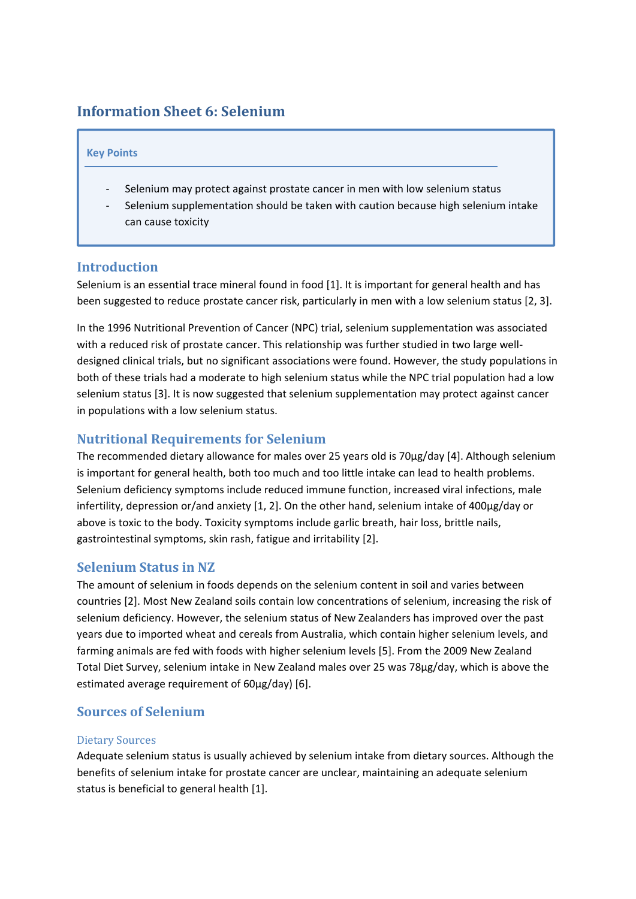# **Information Sheet 6: Selenium**

#### **Key Points**

- Selenium may protect against prostate cancer in men with low selenium status
- Selenium supplementation should be taken with caution because high selenium intake can cause toxicity

#### **Introduction**

Selenium is an essential trace mineral found in food [1]. It is important for general health and has been suggested to reduce prostate cancer risk, particularly in men with a low selenium status [2, 3].

In the 1996 Nutritional Prevention of Cancer (NPC) trial, selenium supplementation was associated with a reduced risk of prostate cancer. This relationship was further studied in two large welldesigned clinical trials, but no significant associations were found. However, the study populations in both of these trials had a moderate to high selenium status while the NPC trial population had a low selenium status [3]. It is now suggested that selenium supplementation may protect against cancer in populations with a low selenium status.

# **Nutritional Requirements for Selenium**

The recommended dietary allowance for males over 25 years old is 70µg/day [4]. Although selenium is important for general health, both too much and too little intake can lead to health problems. Selenium deficiency symptoms include reduced immune function, increased viral infections, male infertility, depression or/and anxiety [1, 2]. On the other hand, selenium intake of 400µg/day or above is toxic to the body. Toxicity symptoms include garlic breath, hair loss, brittle nails, gastrointestinal symptoms, skin rash, fatigue and irritability [2].

### **Selenium Status in NZ**

The amount of selenium in foods depends on the selenium content in soil and varies between countries [2]. Most New Zealand soils contain low concentrations of selenium, increasing the risk of selenium deficiency. However, the selenium status of New Zealanders has improved over the past years due to imported wheat and cereals from Australia, which contain higher selenium levels, and farming animals are fed with foods with higher selenium levels [5]. From the 2009 New Zealand Total Diet Survey, selenium intake in New Zealand males over 25 was 78µg/day, which is above the estimated average requirement of 60µg/day) [6].

### **Sources of Selenium**

#### Dietary Sources

Adequate selenium status is usually achieved by selenium intake from dietary sources. Although the benefits of selenium intake for prostate cancer are unclear, maintaining an adequate selenium status is beneficial to general health [1].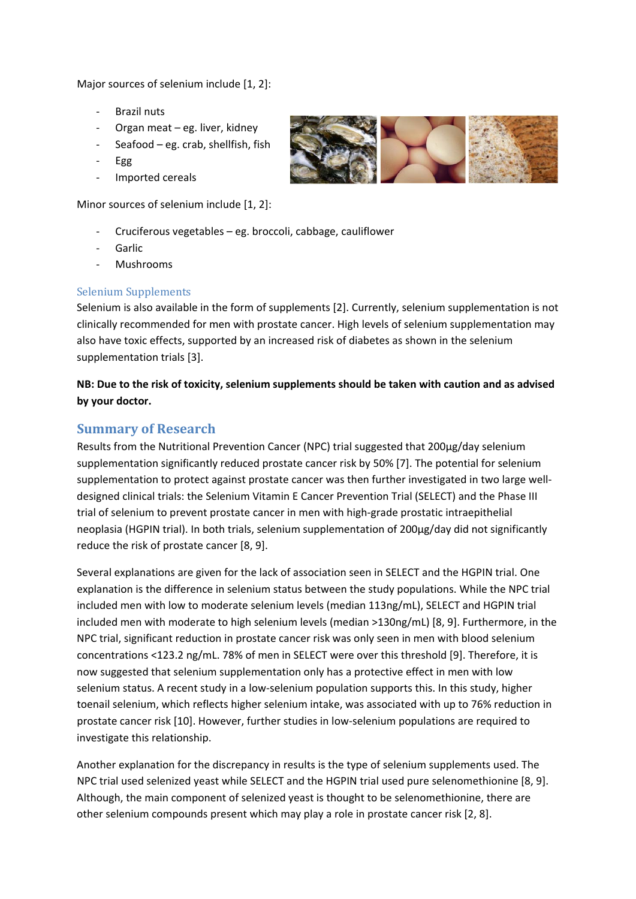Major sources of selenium include [1, 2]:

- ‐ Brazil nuts
- ‐ Organ meat eg. liver, kidney
- Seafood eg. crab, shellfish, fish
- ‐ Egg
- ‐ Imported cereals

Minor sources of selenium include [1, 2]:

- ‐ Cruciferous vegetables eg. broccoli, cabbage, cauliflower
- **Garlic**
- ‐ Mushrooms

### Selenium Supplements

Selenium is also available in the form of supplements [2]. Currently, selenium supplementation is not clinically recommended for men with prostate cancer. High levels of selenium supplementation may also have toxic effects, supported by an increased risk of diabetes as shown in the selenium supplementation trials [3].

**NB: Due to the risk of toxicity, selenium supplements should be taken with caution and as advised by your doctor.**

### **Summary of Research**

Results from the Nutritional Prevention Cancer (NPC) trial suggested that 200µg/day selenium supplementation significantly reduced prostate cancer risk by 50% [7]. The potential for selenium supplementation to protect against prostate cancer was then further investigated in two large welldesigned clinical trials: the Selenium Vitamin E Cancer Prevention Trial (SELECT) and the Phase III trial of selenium to prevent prostate cancer in men with high‐grade prostatic intraepithelial neoplasia (HGPIN trial). In both trials, selenium supplementation of 200µg/day did not significantly reduce the risk of prostate cancer [8, 9].

Several explanations are given for the lack of association seen in SELECT and the HGPIN trial. One explanation is the difference in selenium status between the study populations. While the NPC trial included men with low to moderate selenium levels (median 113ng/mL), SELECT and HGPIN trial included men with moderate to high selenium levels (median >130ng/mL) [8, 9]. Furthermore, in the NPC trial, significant reduction in prostate cancer risk was only seen in men with blood selenium concentrations <123.2 ng/mL. 78% of men in SELECT were over this threshold [9]. Therefore, it is now suggested that selenium supplementation only has a protective effect in men with low selenium status. A recent study in a low-selenium population supports this. In this study, higher toenail selenium, which reflects higher selenium intake, was associated with up to 76% reduction in prostate cancer risk [10]. However, further studies in low‐selenium populations are required to investigate this relationship.

Another explanation for the discrepancy in results is the type of selenium supplements used. The NPC trial used selenized yeast while SELECT and the HGPIN trial used pure selenomethionine [8, 9]. Although, the main component of selenized yeast is thought to be selenomethionine, there are other selenium compounds present which may play a role in prostate cancer risk [2, 8].